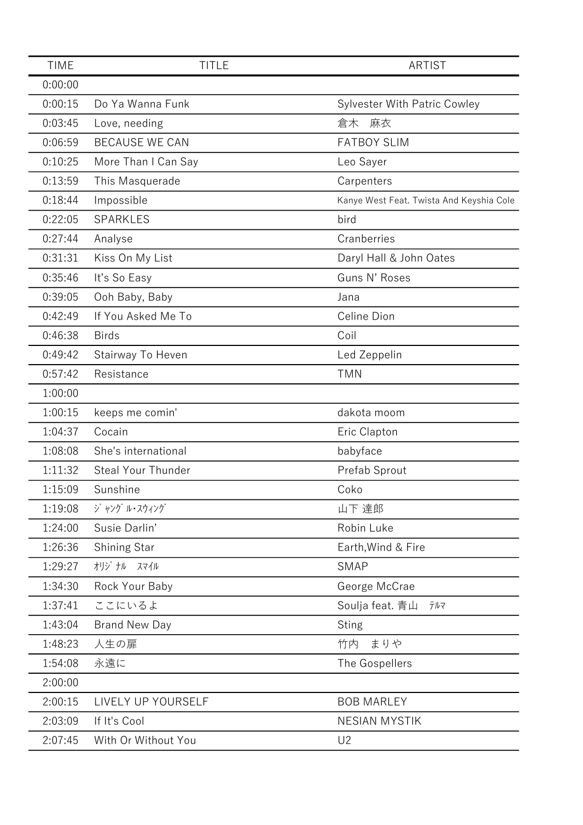| <b>TIME</b> | <b>TITLE</b>          | <b>ARTIST</b>                            |
|-------------|-----------------------|------------------------------------------|
| 0:00:00     |                       |                                          |
| 0:00:15     | Do Ya Wanna Funk      | <b>Sylvester With Patric Cowley</b>      |
| 0:03:45     | Love, needing         | 倉木<br>麻衣                                 |
| 0:06:59     | <b>BECAUSE WE CAN</b> | <b>FATBOY SLIM</b>                       |
| 0:10:25     | More Than I Can Say   | Leo Sayer                                |
| 0:13:59     | This Masquerade       | Carpenters                               |
| 0:18:44     | Impossible            | Kanye West Feat. Twista And Keyshia Cole |
| 0:22:05     | <b>SPARKLES</b>       | bird                                     |
| 0:27:44     | Analyse               | Cranberries                              |
| 0:31:31     | Kiss On My List       | Daryl Hall & John Oates                  |
| 0:35:46     | It's So Easy          | Guns N' Roses                            |
| 0:39:05     | Ooh Baby, Baby        | Jana                                     |
| 0:42:49     | If You Asked Me To    | Celine Dion                              |
| 0:46:38     | <b>Birds</b>          | Coil                                     |
| 0:49:42     | Stairway To Heven     | Led Zeppelin                             |
| 0:57:42     | Resistance            | <b>TMN</b>                               |
| 1:00:00     |                       |                                          |
| 1:00:15     | keeps me comin'       | dakota moom                              |
| 1:04:37     | Cocain                | Eric Clapton                             |
| 1:08:08     | She's international   | babyface                                 |
| 1:11:32     | Steal Your Thunder    | Prefab Sprout                            |
| 1:15:09     | Sunshine              | Coko                                     |
| 1:19:08     | ジャング ル・スウィング          | 山下 達郎                                    |
| 1:24:00     | Susie Darlin'         | Robin Luke                               |
| 1:26:36     | Shining Star          | Earth, Wind & Fire                       |
| 1:29:27     | オリジ ナル スマイル           | <b>SMAP</b>                              |
| 1:34:30     | Rock Your Baby        | George McCrae                            |
| 1:37:41     | ここにいるよ                | Soulja feat. 青山<br>テルマ                   |
| 1:43:04     | <b>Brand New Day</b>  | <b>Sting</b>                             |
| 1:48:23     | 人生の扉                  | まりや<br>竹内                                |
| 1:54:08     | 永遠に                   | The Gospellers                           |
| 2:00:00     |                       |                                          |
| 2:00:15     | LIVELY UP YOURSELF    | <b>BOB MARLEY</b>                        |
| 2:03:09     | If It's Cool          | <b>NESIAN MYSTIK</b>                     |
| 2:07:45     | With Or Without You   | U <sub>2</sub>                           |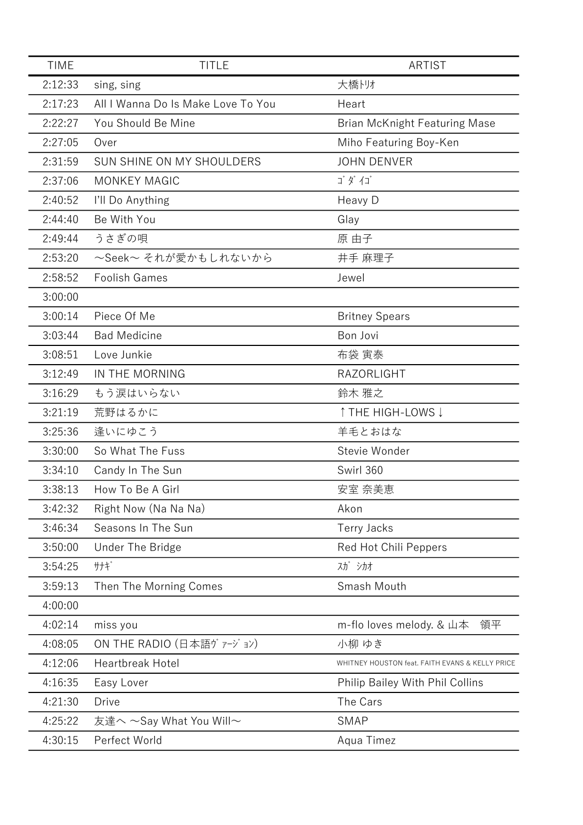| <b>TIME</b> | <b>TITLE</b>                       | ARTIST                                          |
|-------------|------------------------------------|-------------------------------------------------|
| 2:12:33     | sing, sing                         | 大橋トリオ                                           |
| 2:17:23     | All I Wanna Do Is Make Love To You | Heart                                           |
| 2:22:27     | You Should Be Mine                 | <b>Brian McKnight Featuring Mase</b>            |
| 2:27:05     | Over                               | Miho Featuring Boy-Ken                          |
| 2:31:59     | SUN SHINE ON MY SHOULDERS          | <b>JOHN DENVER</b>                              |
| 2:37:06     | <b>MONKEY MAGIC</b>                | ゴダイゴ                                            |
| 2:40:52     | I'll Do Anything                   | Heavy D                                         |
| 2:44:40     | Be With You                        | Glay                                            |
| 2:49:44     | うさぎの唄                              | 原 由子                                            |
| 2:53:20     | ~Seek~ それが愛かもしれないから                | 井手 麻理子                                          |
| 2:58:52     | <b>Foolish Games</b>               | Jewel                                           |
| 3:00:00     |                                    |                                                 |
| 3:00:14     | Piece Of Me                        | <b>Britney Spears</b>                           |
| 3:03:44     | <b>Bad Medicine</b>                | Bon Jovi                                        |
| 3:08:51     | Love Junkie                        | 布袋 寅泰                                           |
| 3:12:49     | IN THE MORNING                     | RAZORLIGHT                                      |
| 3:16:29     | もう涙はいらない                           | 鈴木 雅之                                           |
| 3:21:19     | 荒野はるかに                             | ↑ THE HIGH-LOWS ↓                               |
| 3:25:36     | 逢いにゆこう                             | 羊毛とおはな                                          |
| 3:30:00     | So What The Fuss                   | Stevie Wonder                                   |
| 3:34:10     | Candy In The Sun                   | Swirl 360                                       |
| 3:38:13     | How To Be A Girl                   | 安室 奈美恵                                          |
| 3:42:32     | Right Now (Na Na Na)               | Akon                                            |
| 3:46:34     | Seasons In The Sun                 | Terry Jacks                                     |
| 3:50:00     | Under The Bridge                   | Red Hot Chili Peppers                           |
| 3:54:25     | サナギ                                | 入ガ シカオ                                          |
| 3:59:13     | Then The Morning Comes             | Smash Mouth                                     |
| 4:00:00     |                                    |                                                 |
| 4:02:14     | miss you                           | m-flo loves melody. & 山本<br>領平                  |
| 4:08:05     | ON THE RADIO (日本語ヴァージョン)           | 小柳 ゆき                                           |
| 4:12:06     | <b>Heartbreak Hotel</b>            | WHITNEY HOUSTON feat. FAITH EVANS & KELLY PRICE |
| 4:16:35     | Easy Lover                         | Philip Bailey With Phil Collins                 |
| 4:21:30     | <b>Drive</b>                       | The Cars                                        |
| 4:25:22     | 友達へ ~Say What You Will~            | <b>SMAP</b>                                     |
| 4:30:15     | Perfect World                      | Aqua Timez                                      |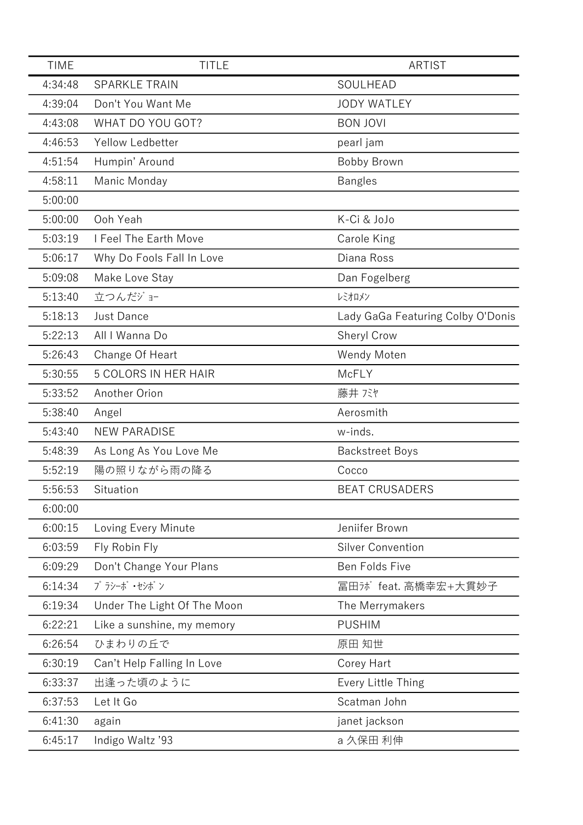| <b>TIME</b> | <b>TITLE</b>                | ARTIST                            |
|-------------|-----------------------------|-----------------------------------|
| 4:34:48     | <b>SPARKLE TRAIN</b>        | SOULHEAD                          |
| 4:39:04     | Don't You Want Me           | <b>JODY WATLEY</b>                |
| 4:43:08     | WHAT DO YOU GOT?            | <b>BON JOVI</b>                   |
| 4:46:53     | Yellow Ledbetter            | pearl jam                         |
| 4:51:54     | Humpin' Around              | Bobby Brown                       |
| 4:58:11     | Manic Monday                | <b>Bangles</b>                    |
| 5:00:00     |                             |                                   |
| 5:00:00     | Ooh Yeah                    | K-Ci & JoJo                       |
| 5:03:19     | I Feel The Earth Move       | Carole King                       |
| 5:06:17     | Why Do Fools Fall In Love   | Diana Ross                        |
| 5:09:08     | Make Love Stay              | Dan Fogelberg                     |
| 5:13:40     | 立つんだジョー                     | レミオロメン                            |
| 5:18:13     | <b>Just Dance</b>           | Lady GaGa Featuring Colby O'Donis |
| 5:22:13     | All I Wanna Do              | Sheryl Crow                       |
| 5:26:43     | Change Of Heart             | Wendy Moten                       |
| 5:30:55     | <b>5 COLORS IN HER HAIR</b> | McFLY                             |
| 5:33:52     | Another Orion               | 藤井 バヤ                             |
| 5:38:40     | Angel                       | Aerosmith                         |
| 5:43:40     | <b>NEW PARADISE</b>         | w-inds.                           |
| 5:48:39     | As Long As You Love Me      | <b>Backstreet Boys</b>            |
| 5:52:19     | 陽の照りながら雨の降る                 | Cocco                             |
| 5:56:53     | Situation                   | <b>BEAT CRUSADERS</b>             |
| 6:00:00     |                             |                                   |
| 6:00:15     | Loving Every Minute         | Jeniifer Brown                    |
| 6:03:59     | Fly Robin Fly               | <b>Silver Convention</b>          |
| 6:09:29     | Don't Change Your Plans     | Ben Folds Five                    |
| 6:14:34     | プラシーボ ・セシボン                 | 冨田カボfeat. 高橋幸宏+大貫妙子               |
| 6:19:34     | Under The Light Of The Moon | The Merrymakers                   |
| 6:22:21     | Like a sunshine, my memory  | <b>PUSHIM</b>                     |
| 6:26:54     | ひまわりの丘で                     | 原田 知世                             |
| 6:30:19     | Can't Help Falling In Love  | Corey Hart                        |
| 6:33:37     | 出逢った頃のように                   | Every Little Thing                |
| 6:37:53     | Let It Go                   | Scatman John                      |
| 6:41:30     | again                       | janet jackson                     |
| 6:45:17     | Indigo Waltz '93            | a 久保田 利伸                          |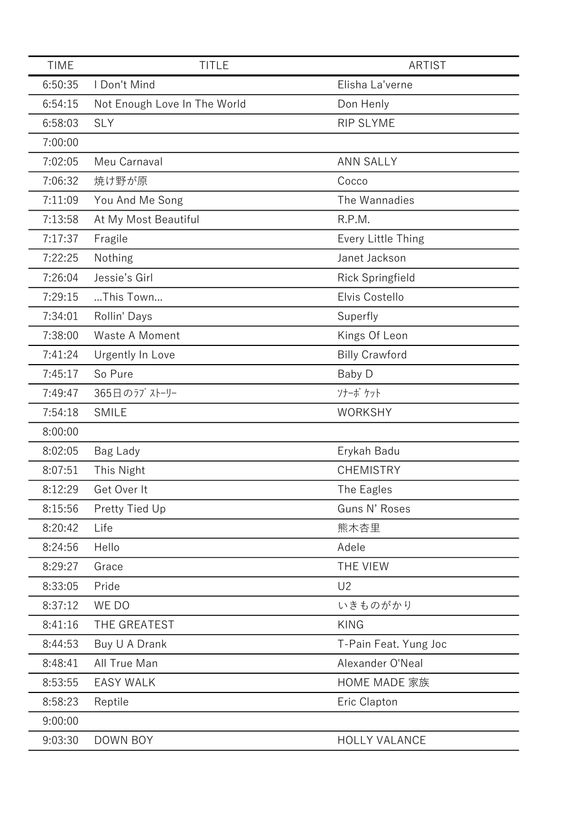| <b>TIME</b> | <b>TITLE</b>                 | <b>ARTIST</b>         |
|-------------|------------------------------|-----------------------|
| 6:50:35     | I Don't Mind                 | Elisha La'verne       |
| 6:54:15     | Not Enough Love In The World | Don Henly             |
| 6:58:03     | <b>SLY</b>                   | <b>RIP SLYME</b>      |
| 7:00:00     |                              |                       |
| 7:02:05     | Meu Carnaval                 | <b>ANN SALLY</b>      |
| 7:06:32     | 焼け野が原                        | Cocco                 |
| 7:11:09     | You And Me Song              | The Wannadies         |
| 7:13:58     | At My Most Beautiful         | R.P.M.                |
| 7:17:37     | Fragile                      | Every Little Thing    |
| 7:22:25     | Nothing                      | Janet Jackson         |
| 7:26:04     | Jessie's Girl                | Rick Springfield      |
| 7:29:15     | This Town                    | Elvis Costello        |
| 7:34:01     | Rollin' Days                 | Superfly              |
| 7:38:00     | Waste A Moment               | Kings Of Leon         |
| 7:41:24     | Urgently In Love             | <b>Billy Crawford</b> |
| 7:45:17     | So Pure                      | Baby D                |
| 7:49:47     | 365日のラブストーリー                 | ソナーボ ケット              |
| 7:54:18     | <b>SMILE</b>                 | <b>WORKSHY</b>        |
| 8:00:00     |                              |                       |
| 8:02:05     | Bag Lady                     | Erykah Badu           |
| 8:07:51     | This Night                   | <b>CHEMISTRY</b>      |
| 8:12:29     | Get Over It                  | The Eagles            |
| 8:15:56     | Pretty Tied Up               | Guns N' Roses         |
| 8:20:42     | Life                         | 熊木杏里                  |
| 8:24:56     | Hello                        | Adele                 |
| 8:29:27     | Grace                        | THE VIEW              |
| 8:33:05     | Pride                        | U <sub>2</sub>        |
| 8:37:12     | WE DO                        | いきものがかり               |
| 8:41:16     | THE GREATEST                 | <b>KING</b>           |
| 8:44:53     | Buy U A Drank                | T-Pain Feat. Yung Joc |
| 8:48:41     | All True Man                 | Alexander O'Neal      |
| 8:53:55     | <b>EASY WALK</b>             | HOME MADE 家族          |
| 8:58:23     | Reptile                      | Eric Clapton          |
| 9:00:00     |                              |                       |
| 9:03:30     | DOWN BOY                     | <b>HOLLY VALANCE</b>  |
|             |                              |                       |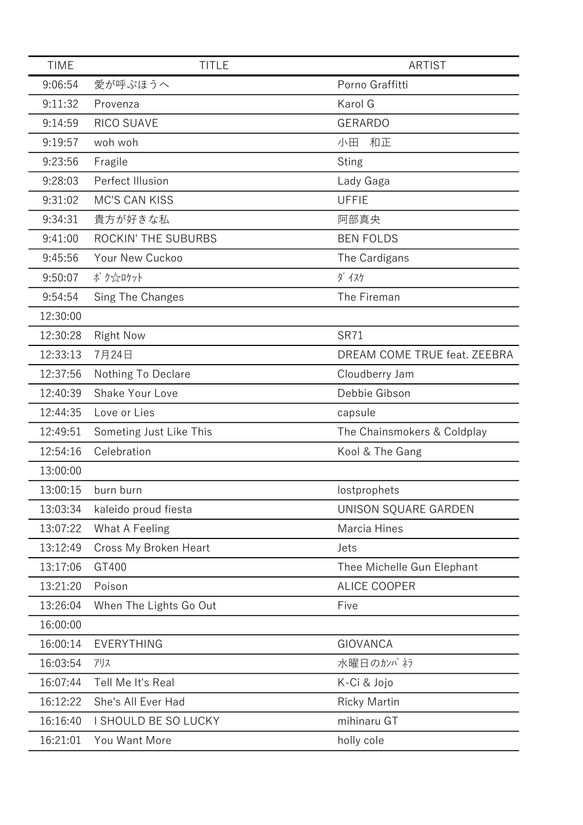| <b>TIME</b> | <b>TITLE</b>            | <b>ARTIST</b>                |
|-------------|-------------------------|------------------------------|
| 9:06:54     | 愛が呼ぶほうへ                 | Porno Graffitti              |
| 9:11:32     | Provenza                | Karol G                      |
| 9:14:59     | RICO SUAVE              | <b>GERARDO</b>               |
| 9:19:57     | woh woh                 | 和正<br>小田                     |
| 9:23:56     | Fragile                 | <b>Sting</b>                 |
| 9:28:03     | Perfect Illusion        | Lady Gaga                    |
| 9:31:02     | <b>MC'S CAN KISS</b>    | <b>UFFIE</b>                 |
| 9:34:31     | 貴方が好きな私                 | 阿部真央                         |
| 9:41:00     | ROCKIN' THE SUBURBS     | <b>BEN FOLDS</b>             |
| 9:45:56     | Your New Cuckoo         | The Cardigans                |
| 9:50:07     | ボク☆ロケット                 | ダイスケ                         |
| 9:54:54     | Sing The Changes        | The Fireman                  |
| 12:30:00    |                         |                              |
| 12:30:28    | <b>Right Now</b>        | <b>SR71</b>                  |
| 12:33:13    | 7月24日                   | DREAM COME TRUE feat. ZEEBRA |
| 12:37:56    | Nothing To Declare      | Cloudberry Jam               |
| 12:40:39    | Shake Your Love         | Debbie Gibson                |
| 12:44:35    | Love or Lies            | capsule                      |
| 12:49:51    | Someting Just Like This | The Chainsmokers & Coldplay  |
| 12:54:16    | Celebration             | Kool & The Gang              |
| 13:00:00    |                         |                              |
| 13:00:15    | burn burn               | lostprophets                 |
| 13:03:34    | kaleido proud fiesta    | UNISON SQUARE GARDEN         |
| 13:07:22    | What A Feeling          | Marcia Hines                 |
| 13:12:49    | Cross My Broken Heart   | Jets                         |
| 13:17:06    | GT400                   | Thee Michelle Gun Elephant   |
| 13:21:20    | Poison                  | <b>ALICE COOPER</b>          |
| 13:26:04    | When The Lights Go Out  | Five                         |
| 16:00:00    |                         |                              |
| 16:00:14    | EVERYTHING              | <b>GIOVANCA</b>              |
| 16:03:54    | アリス                     | 水曜日のカンパネラ                    |
| 16:07:44    | Tell Me It's Real       | K-Ci & Jojo                  |
| 16:12:22    | She's All Ever Had      | <b>Ricky Martin</b>          |
| 16:16:40    | I SHOULD BE SO LUCKY    | mihinaru GT                  |
| 16:21:01    | You Want More           | holly cole                   |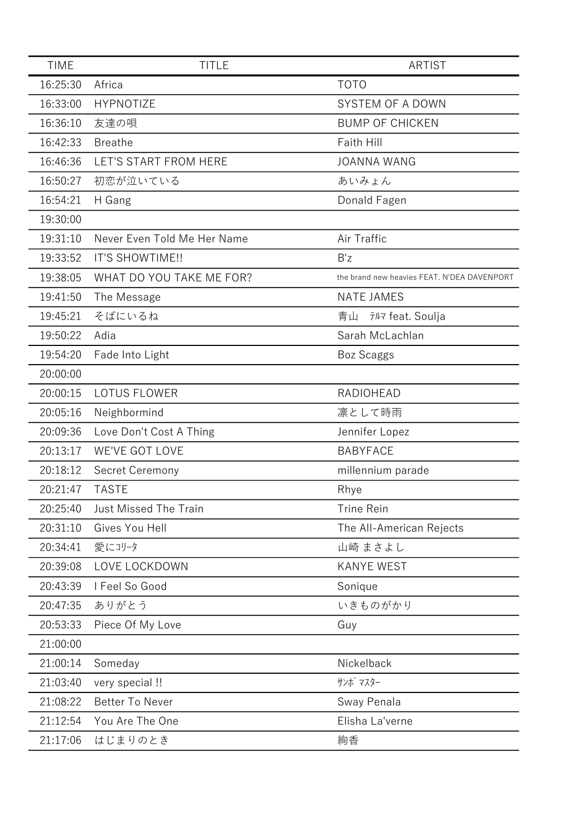| <b>TIME</b> | <b>TITLE</b>                 | <b>ARTIST</b>                               |
|-------------|------------------------------|---------------------------------------------|
| 16:25:30    | Africa                       | <b>TOTO</b>                                 |
| 16:33:00    | <b>HYPNOTIZE</b>             | SYSTEM OF A DOWN                            |
| 16:36:10    | 友達の唄                         | <b>BUMP OF CHICKEN</b>                      |
| 16:42:33    | <b>Breathe</b>               | Faith Hill                                  |
| 16:46:36    | LET'S START FROM HERE        | <b>JOANNA WANG</b>                          |
| 16:50:27    | 初恋が泣いている                     | あいみょん                                       |
| 16:54:21    | H Gang                       | Donald Fagen                                |
| 19:30:00    |                              |                                             |
| 19:31:10    | Never Even Told Me Her Name  | Air Traffic                                 |
| 19:33:52    | IT'S SHOWTIME !!             | B'z                                         |
| 19:38:05    | WHAT DO YOU TAKE ME FOR?     | the brand new heavies FEAT. N'DEA DAVENPORT |
| 19:41:50    | The Message                  | <b>NATE JAMES</b>                           |
| 19:45:21    | そばにいるね                       | 青山<br>テルマ feat. Soulja                      |
| 19:50:22    | Adia                         | Sarah McLachlan                             |
| 19:54:20    | Fade Into Light              | <b>Boz Scaggs</b>                           |
| 20:00:00    |                              |                                             |
| 20:00:15    | <b>LOTUS FLOWER</b>          | <b>RADIOHEAD</b>                            |
| 20:05:16    | Neighbormind                 | 凛として時雨                                      |
| 20:09:36    | Love Don't Cost A Thing      | Jennifer Lopez                              |
| 20:13:17    | WE'VE GOT LOVE               | <b>BABYFACE</b>                             |
| 20:18:12    | Secret Ceremony              | millennium parade                           |
| 20:21:47    | <b>TASTE</b>                 | Rhye                                        |
| 20:25:40    | <b>Just Missed The Train</b> | <b>Trine Rein</b>                           |
| 20:31:10    | Gives You Hell               | The All-American Rejects                    |
| 20:34:41    | 愛にコリータ                       | 山崎 まさよし                                     |
| 20:39:08    | LOVE LOCKDOWN                | <b>KANYE WEST</b>                           |
| 20:43:39    | I Feel So Good               | Sonique                                     |
| 20:47:35    | ありがとう                        | いきものがかり                                     |
| 20:53:33    | Piece Of My Love             | Guy                                         |
| 21:00:00    |                              |                                             |
| 21:00:14    | Someday                      | Nickelback                                  |
| 21:03:40    | very special !!              | サンボ マスター                                    |
| 21:08:22    | <b>Better To Never</b>       | Sway Penala                                 |
| 21:12:54    | You Are The One              | Elisha La'verne                             |
| 21:17:06    | はじまりのとき                      | 絢香                                          |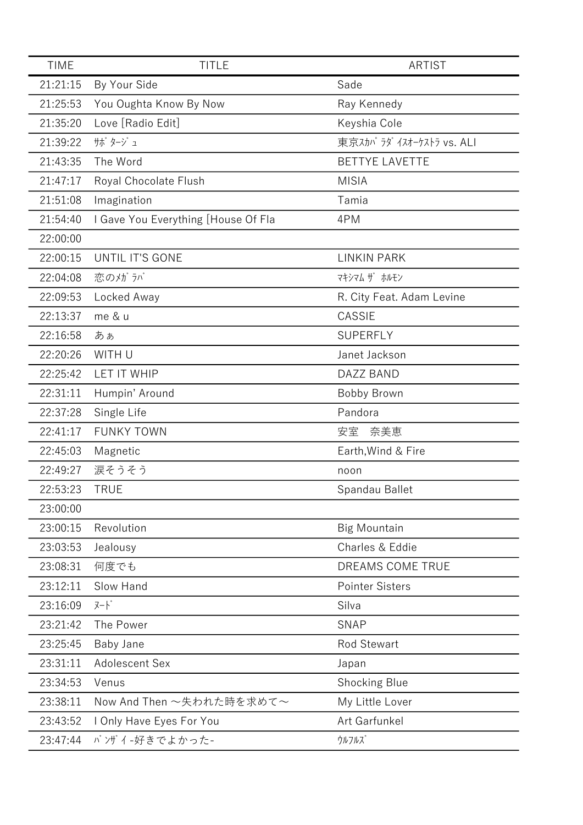| <b>TIME</b> | <b>TITLE</b>                        | <b>ARTIST</b>             |
|-------------|-------------------------------------|---------------------------|
| 21:21:15    | By Your Side                        | Sade                      |
| 21:25:53    | You Oughta Know By Now              | Ray Kennedy               |
| 21:35:20    | Love [Radio Edit]                   | Keyshia Cole              |
| 21:39:22    | サボ タージュ                             | 東京スカパ ラダ イスオーケストラ vs. ALI |
| 21:43:35    | The Word                            | <b>BETTYE LAVETTE</b>     |
| 21:47:17    | Royal Chocolate Flush               | <b>MISIA</b>              |
| 21:51:08    | Imagination                         | Tamia                     |
| 21:54:40    | I Gave You Everything [House Of Fla | 4PM                       |
| 22:00:00    |                                     |                           |
| 22:00:15    | UNTIL IT'S GONE                     | <b>LINKIN PARK</b>        |
| 22:04:08    | 恋のメガラバ                              | マキシマム ザ ホルモン              |
| 22:09:53    | Locked Away                         | R. City Feat. Adam Levine |
| 22:13:37    | me & u                              | CASSIE                    |
| 22:16:58    | あぁ                                  | <b>SUPERFLY</b>           |
| 22:20:26    | WITH U                              | Janet Jackson             |
| 22:25:42    | <b>LET IT WHIP</b>                  | DAZZ BAND                 |
| 22:31:11    | Humpin' Around                      | Bobby Brown               |
| 22:37:28    | Single Life                         | Pandora                   |
| 22:41:17    | <b>FUNKY TOWN</b>                   | 奈美恵<br>安室                 |
| 22:45:03    | Magnetic                            | Earth, Wind & Fire        |
| 22:49:27    | 涙そうそう                               | noon                      |
| 22:53:23    | <b>TRUE</b>                         | Spandau Ballet            |
| 23:00:00    |                                     |                           |
| 23:00:15    | Revolution                          | <b>Big Mountain</b>       |
| 23:03:53    | Jealousy                            | Charles & Eddie           |
| 23:08:31    | 何度でも                                | DREAMS COME TRUE          |
| 23:12:11    | Slow Hand                           | <b>Pointer Sisters</b>    |
| 23:16:09    | $7 - k$                             | Silva                     |
| 23:21:42    | The Power                           | <b>SNAP</b>               |
| 23:25:45    | Baby Jane                           | <b>Rod Stewart</b>        |
| 23:31:11    | Adolescent Sex                      | Japan                     |
| 23:34:53    | Venus                               | <b>Shocking Blue</b>      |
| 23:38:11    | Now And Then ~失われた時を求めて~            | My Little Lover           |
| 23:43:52    | I Only Have Eyes For You            | Art Garfunkel             |
| 23:47:44    | バゾイ-好きでよかった-                        | ウルフルズ                     |